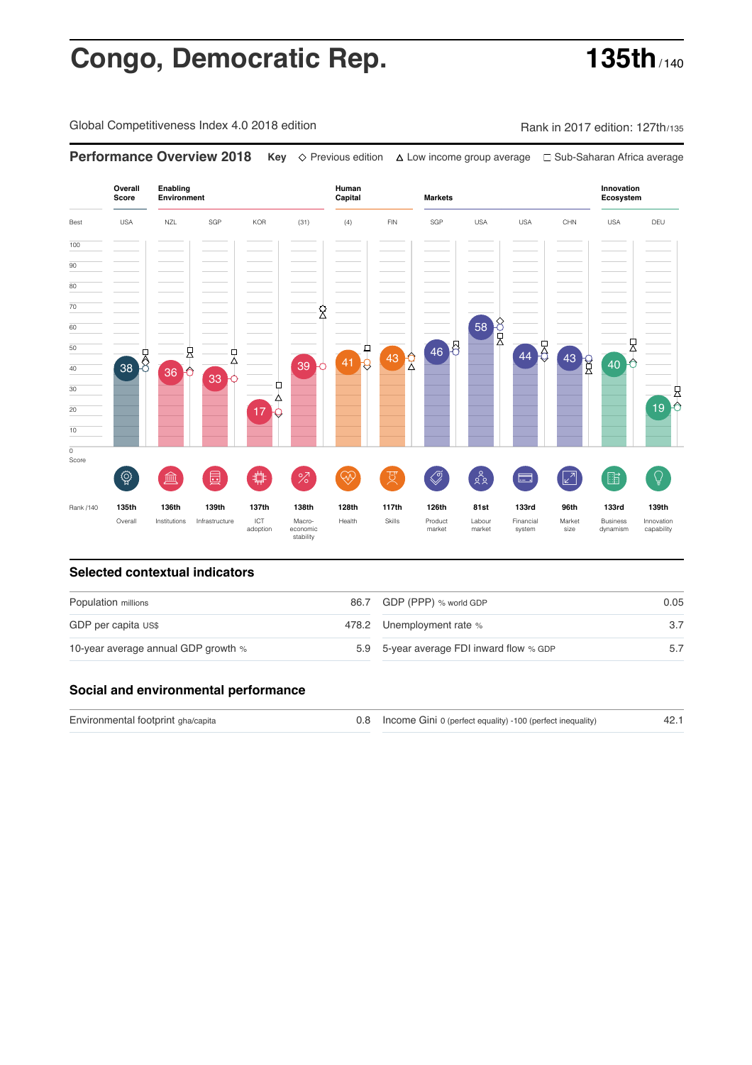# **Congo, Democratic Rep. 135th**

Global Competitiveness Index 4.0 2018 edition Company Rank in 2017 edition: 127th/135

**Performance Overview 2018 Key** Previous edition Low income group average Sub-Saharan Africa average

**Overall Human Innovation Enabling Environment Capital Markets Score Ecosystem** Best USA NZL SGP KOR (31) (4) FIN SGP USA USA CHN USA DEU 100  $\overline{90}$ 80 70  $\hat{\mathbb{X}}$ 58 8 60 , 46 8 44 43 9 50  $41<sup>1</sup>$ 县 뭇  $43 \begin{array}{c} 2 \end{array}$  $40<sup>o</sup>$ 39 40 38 36 33 Щ 30 县  $\lambda$  $19<sup>o</sup>$ 20 17 10  $\overline{\text{o}}$ Score  $\widehat{Q}$  $\oslash$ **ledge (** 園( **サ** ( %)(  $\circledcirc$  ( 及)  $28$  $\sqrt{2}$ 酯  $\mathbb{Q}$  $\Box$ Rank /140 **135th 136th 139th 137th 138th 128th 117th 126th 81st 133rd 96th 133rd 139th** ICT Macro-<br>adoption econom Overall Institutions Infrastructure Market Health Skills Product market Labour<br>market Financial system Business dynamism Innovation capability wacro-<br>economic<br>stability size

### **Selected contextual indicators**

| Population millions                 | 86.7 GDP (PPP) % world GDP               | 0.05 |
|-------------------------------------|------------------------------------------|------|
| GDP per capita US\$                 | 478.2 Unemployment rate %                |      |
| 10-year average annual GDP growth % | 5.9 5-year average FDI inward flow % GDP |      |

### **Social and environmental performance**

Environmental footprint gha/capita Income Gini 0 (perfect equality) -100 (perfect inequality) 0.8 42.1

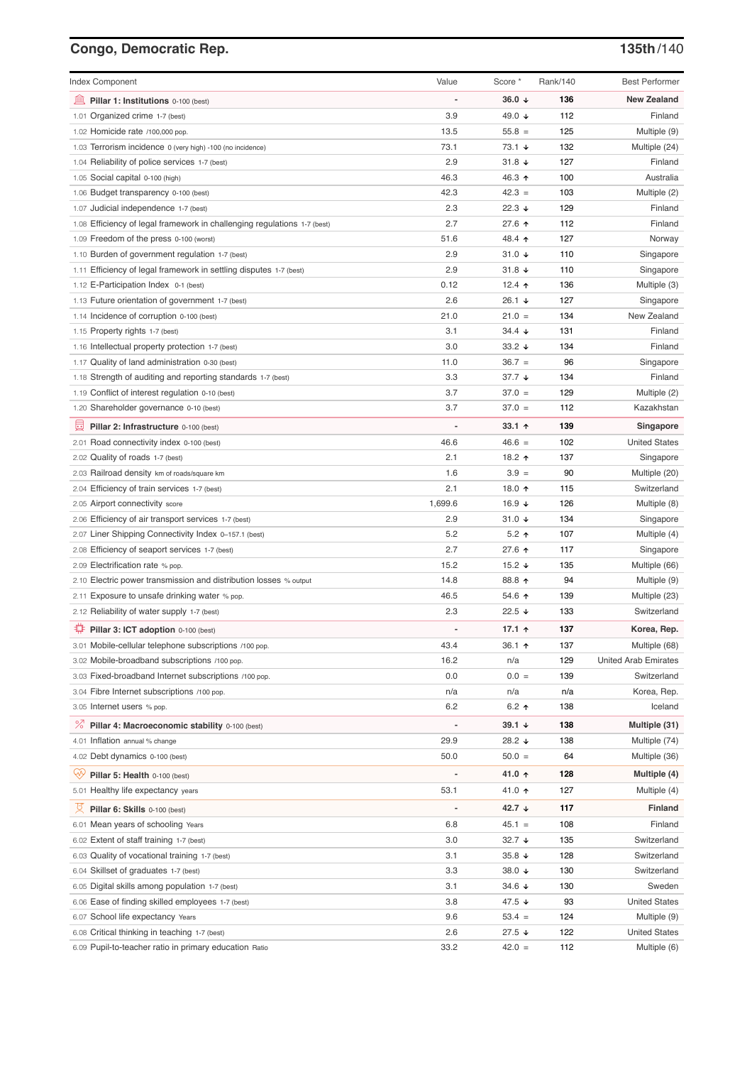# **Congo, Democratic Rep. 135th**/140

| <b>Index Component</b>                                                   | Value                    | Score *              | Rank/140 | <b>Best Performer</b>       |
|--------------------------------------------------------------------------|--------------------------|----------------------|----------|-----------------------------|
| Pillar 1: Institutions 0-100 (best)                                      |                          | 36.0 $\sqrt{ }$      | 136      | <b>New Zealand</b>          |
| 1.01 Organized crime 1-7 (best)                                          | 3.9                      | 49.0 ↓               | 112      | Finland                     |
| 1.02 Homicide rate /100,000 pop.                                         | 13.5                     | $55.8 =$             | 125      | Multiple (9)                |
| 1.03 Terrorism incidence 0 (very high) -100 (no incidence)               | 73.1                     | $73.1 +$             | 132      | Multiple (24)               |
| 1.04 Reliability of police services 1-7 (best)                           | 2.9                      | $31.8 +$             | 127      | Finland                     |
| 1.05 Social capital 0-100 (high)                                         | 46.3                     | 46.3 ↑               | 100      | Australia                   |
| 1.06 Budget transparency 0-100 (best)                                    | 42.3                     | $42.3 =$             | 103      | Multiple (2)                |
| 1.07 Judicial independence 1-7 (best)                                    | 2.3                      | 22.3 $\sqrt{ }$      | 129      | Finland                     |
| 1.08 Efficiency of legal framework in challenging regulations 1-7 (best) | 2.7                      | 27.6 1               | 112      | Finland                     |
| 1.09 Freedom of the press 0-100 (worst)                                  | 51.6                     | 48.4 ↑               | 127      | Norway                      |
| 1.10 Burden of government regulation 1-7 (best)                          | 2.9                      | $31.0 +$             | 110      | Singapore                   |
| 1.11 Efficiency of legal framework in settling disputes 1-7 (best)       | 2.9                      | $31.8 +$             | 110      | Singapore                   |
| 1.12 E-Participation Index 0-1 (best)                                    | 0.12                     | 12.4 $\uparrow$      | 136      | Multiple (3)                |
| 1.13 Future orientation of government 1-7 (best)                         | 2.6                      | 26.1 $\sqrt{ }$      | 127      | Singapore                   |
| 1.14 Incidence of corruption 0-100 (best)                                | 21.0                     | $21.0 =$             | 134      | New Zealand                 |
| 1.15 Property rights 1-7 (best)                                          | 3.1                      | $34.4 \; \downarrow$ | 131      | Finland                     |
| 1.16 Intellectual property protection 1-7 (best)                         | 3.0                      | 33.2 $\sqrt{ }$      | 134      | Finland                     |
| 1.17 Quality of land administration 0-30 (best)                          | 11.0                     | $36.7 =$             | 96       | Singapore                   |
| 1.18 Strength of auditing and reporting standards 1-7 (best)             | 3.3                      | 37.7 $\sqrt{ }$      | 134      | Finland                     |
| 1.19 Conflict of interest regulation 0-10 (best)                         | 3.7                      | $37.0 =$             | 129      | Multiple (2)                |
| 1.20 Shareholder governance 0-10 (best)                                  | 3.7                      | $37.0 =$             | 112      | Kazakhstan                  |
| 員<br>Pillar 2: Infrastructure 0-100 (best)                               |                          | $33.1$ 1             | 139      | Singapore                   |
| 2.01 Road connectivity index 0-100 (best)                                | 46.6                     | $46.6 =$             | 102      | <b>United States</b>        |
| 2.02 Quality of roads 1-7 (best)                                         | 2.1                      | 18.2 ↑               | 137      | Singapore                   |
| 2.03 Railroad density km of roads/square km                              | 1.6                      | $3.9 =$              | 90       | Multiple (20)               |
| 2.04 Efficiency of train services 1-7 (best)                             | 2.1                      | 18.0 个               | 115      | Switzerland                 |
| 2.05 Airport connectivity score                                          | 1,699.6                  | 16.9 $\sqrt{ }$      | 126      | Multiple (8)                |
| 2.06 Efficiency of air transport services 1-7 (best)                     | 2.9                      | 31.0 $\sqrt{ }$      | 134      | Singapore                   |
| 2.07 Liner Shipping Connectivity Index 0-157.1 (best)                    | 5.2                      | $5.2$ ↑              | 107      | Multiple (4)                |
| 2.08 Efficiency of seaport services 1-7 (best)                           | 2.7                      | 27.6 ↑               | 117      | Singapore                   |
| 2.09 Electrification rate % pop.                                         | 15.2                     | 15.2 $\sqrt{ }$      | 135      | Multiple (66)               |
| 2.10 Electric power transmission and distribution losses % output        | 14.8                     | 88.8 ↑               | 94       | Multiple (9)                |
| 2.11 Exposure to unsafe drinking water % pop.                            | 46.5                     | 54.6 $\uparrow$      | 139      | Multiple (23)               |
| 2.12 Reliability of water supply 1-7 (best)                              | 2.3                      | 22.5 $\sqrt{ }$      | 133      | Switzerland                 |
| O<br>Pillar 3: ICT adoption 0-100 (best)                                 |                          | 17.1 $\uparrow$      | 137      | Korea, Rep.                 |
| 3.01 Mobile-cellular telephone subscriptions /100 pop.                   | 43.4                     | 36.1 ↑               | 137      | Multiple (68)               |
| 3.02 Mobile-broadband subscriptions /100 pop.                            | 16.2                     | n/a                  | 129      | <b>United Arab Emirates</b> |
| 3.03 Fixed-broadband Internet subscriptions /100 pop.                    | 0.0                      | $0.0 =$              | 139      | Switzerland                 |
| 3.04 Fibre Internet subscriptions /100 pop.                              | n/a                      | n/a                  | n/a      | Korea, Rep.                 |
| 3.05 Internet users % pop.                                               | 6.2                      | 6.2 $\uparrow$       | 138      | Iceland                     |
| ℅<br>Pillar 4: Macroeconomic stability 0-100 (best)                      | $\overline{\phantom{a}}$ | 39.1 $\sqrt{ }$      | 138      | Multiple (31)               |
| 4.01 Inflation annual % change                                           | 29.9                     | 28.2 ↓               | 138      | Multiple (74)               |
| 4.02 Debt dynamics 0-100 (best)                                          | 50.0                     | $50.0 =$             | 64       | Multiple (36)               |
| Qÿ<br>Pillar 5: Health 0-100 (best)                                      |                          | 41.0 ↑               | 128      | Multiple (4)                |
| 5.01 Healthy life expectancy years                                       | 53.1                     | 41.0 ↑               | 127      | Multiple (4)                |
| 섯<br>Pillar 6: Skills 0-100 (best)                                       | $\overline{a}$           | 42.7 $\downarrow$    | 117      | Finland                     |
| 6.01 Mean years of schooling Years                                       | 6.8                      | $45.1 =$             | 108      | Finland                     |
| 6.02 Extent of staff training 1-7 (best)                                 | 3.0                      | $32.7 +$             | 135      | Switzerland                 |
| 6.03 Quality of vocational training 1-7 (best)                           | 3.1                      | 35.8 $\sqrt{ }$      | 128      | Switzerland                 |
| 6.04 Skillset of graduates 1-7 (best)                                    | 3.3                      | 38.0 ↓               | 130      | Switzerland                 |
| 6.05 Digital skills among population 1-7 (best)                          | 3.1                      | 34.6 $\sqrt{ }$      | 130      | Sweden                      |
| 6.06 Ease of finding skilled employees 1-7 (best)                        | 3.8                      | 47.5 ↓               | 93       | <b>United States</b>        |
| 6.07 School life expectancy Years                                        | 9.6                      | $53.4 =$             | 124      | Multiple (9)                |
| 6.08 Critical thinking in teaching 1-7 (best)                            | 2.6                      | 27.5 ↓               | 122      | <b>United States</b>        |
| 6.09 Pupil-to-teacher ratio in primary education Ratio                   | 33.2                     | $42.0 =$             | 112      | Multiple (6)                |
|                                                                          |                          |                      |          |                             |